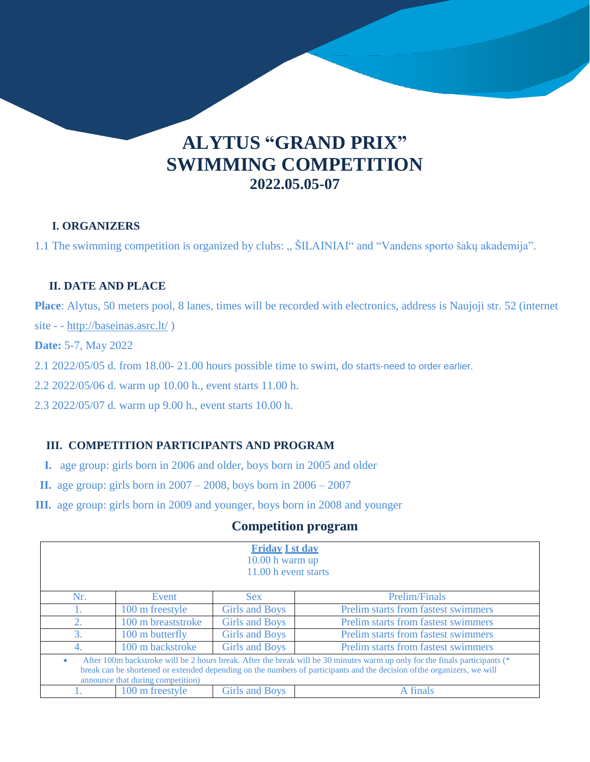# **SWIMMING COMPETITION 2022.05.05-07 ALYTUS "GRAND PRIX"**

#### **I. ORGANIZERS**

1.1 The swimming competition is organized by clubs: "  $\text{SILANIAI}$ " and "Vandens sporto šakų akademija".

## **II. DATE AND PLACE**

**Place**: Alytus, 50 meters pool, 8 lanes, times will be recorded with electronics, address is Naujoji str. 52 (internet

site - - <http://baseinas.asrc.lt/>)

**Date:** 5-7, May 2022

2.1 2022/05/05 d. from 18.00- 21.00 hours possible time to swim, do starts-need to order earlier.

2.2 2022/05/06 d. warm up 10.00 h., event starts 11.00 h.

2.3 2022/05/07 d. warm up 9.00 h., event starts 10.00 h.

# **III. COMPETITION PARTICIPANTS AND PROGRAM**

- **I.** age group: girls born in 2006 and older, boys born in 2005 and older
- **II.** age group: girls born in 2007 2008, boys born in 2006 2007
- **III.** age group: girls born in 2009 and younger, boys born in 2008 and younger

# **Competition program**

| <b>Friday I st day</b><br>$10.00 h$ warm up<br>11.00 h event starts                                                                                                                                                                                                                                      |                    |                       |                                     |  |  |  |
|----------------------------------------------------------------------------------------------------------------------------------------------------------------------------------------------------------------------------------------------------------------------------------------------------------|--------------------|-----------------------|-------------------------------------|--|--|--|
| Nr.                                                                                                                                                                                                                                                                                                      | Event              | Sex.                  | <b>Prelim/Finals</b>                |  |  |  |
| Ι.                                                                                                                                                                                                                                                                                                       | 100 m freestyle    | <b>Girls and Boys</b> | Prelim starts from fastest swimmers |  |  |  |
| 2.                                                                                                                                                                                                                                                                                                       | 100 m breaststroke | <b>Girls and Boys</b> | Prelim starts from fastest swimmers |  |  |  |
| 3.                                                                                                                                                                                                                                                                                                       | 100 m butterfly    | <b>Girls and Boys</b> | Prelim starts from fastest swimmers |  |  |  |
| 4.                                                                                                                                                                                                                                                                                                       | 100 m backstroke   | <b>Girls and Boys</b> | Prelim starts from fastest swimmers |  |  |  |
| After 100m backstroke will be 2 hours break. After the break will be 30 minutes warm up only for the finals participants (*<br>$\bullet$<br>break can be shortened or extended depending on the numbers of participants and the decision of the organizers, we will<br>announce that during competition) |                    |                       |                                     |  |  |  |
|                                                                                                                                                                                                                                                                                                          | 100 m freestyle    | Girls and Boys        | A finals                            |  |  |  |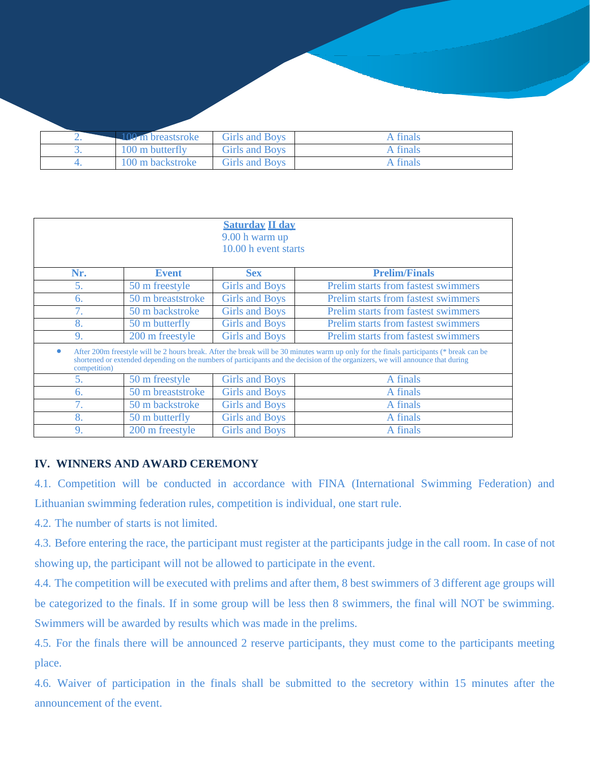| $\pm 100$ m breastsroke | Girls and Boys | <b>A</b> finals |
|-------------------------|----------------|-----------------|
| 100 m butterfly         | Girls and Boys | A finals        |
| 100 m backstroke        | Girls and Boys | <b>A</b> finals |

| <b>Saturday II day</b><br>9.00 h warm up<br>10.00 h event starts                                                                                                                                                                                                                           |                   |                       |                                            |  |  |  |
|--------------------------------------------------------------------------------------------------------------------------------------------------------------------------------------------------------------------------------------------------------------------------------------------|-------------------|-----------------------|--------------------------------------------|--|--|--|
| Nr.                                                                                                                                                                                                                                                                                        | <b>Event</b>      | <b>Sex</b>            | <b>Prelim/Finals</b>                       |  |  |  |
| 5.                                                                                                                                                                                                                                                                                         | 50 m freestyle    | <b>Girls and Boys</b> | <b>Prelim starts from fastest swimmers</b> |  |  |  |
| 6.                                                                                                                                                                                                                                                                                         | 50 m breaststroke | <b>Girls and Boys</b> | <b>Prelim starts from fastest swimmers</b> |  |  |  |
| 7.                                                                                                                                                                                                                                                                                         | 50 m backstroke   | <b>Girls and Boys</b> | Prelim starts from fastest swimmers        |  |  |  |
| 8.                                                                                                                                                                                                                                                                                         | 50 m butterfly    | <b>Girls and Boys</b> | Prelim starts from fastest swimmers        |  |  |  |
| 9.                                                                                                                                                                                                                                                                                         | 200 m freestyle   | <b>Girls and Boys</b> | Prelim starts from fastest swimmers        |  |  |  |
| After 200m freestyle will be 2 hours break. After the break will be 30 minutes warm up only for the finals participants (* break can be<br>shortened or extended depending on the numbers of participants and the decision of the organizers, we will announce that during<br>competition) |                   |                       |                                            |  |  |  |
| 5.                                                                                                                                                                                                                                                                                         | 50 m freestyle    | <b>Girls and Boys</b> | A finals                                   |  |  |  |
| 6.                                                                                                                                                                                                                                                                                         | 50 m breaststroke | <b>Girls and Boys</b> | A finals                                   |  |  |  |
| 7.                                                                                                                                                                                                                                                                                         | 50 m backstroke   | <b>Girls and Boys</b> | A finals                                   |  |  |  |
| 8.                                                                                                                                                                                                                                                                                         | 50 m butterfly    | <b>Girls and Boys</b> | A finals                                   |  |  |  |
| 9.                                                                                                                                                                                                                                                                                         | 200 m freestyle   | <b>Girls and Boys</b> | A finals                                   |  |  |  |

#### **IV. WINNERS AND AWARD CEREMONY**

4.1. Competition will be conducted in accordance with FINA (International Swimming Federation) and Lithuanian swimming federation rules, competition is individual, one start rule.

4.2. The number of starts is not limited.

4.3. Before entering the race, the participant must register at the participants judge in the call room. In case of not showing up, the participant will not be allowed to participate in the event.

4.4. The competition will be executed with prelims and after them, 8 best swimmers of 3 different age groups will be categorized to the finals. If in some group will be less then 8 swimmers, the final will NOT be swimming. Swimmers will be awarded by results which was made in the prelims.

4.5. For the finals there will be announced 2 reserve participants, they must come to the participants meeting place.

4.6. Waiver of participation in the finals shall be submitted to the secretory within 15 minutes after the announcement of the event.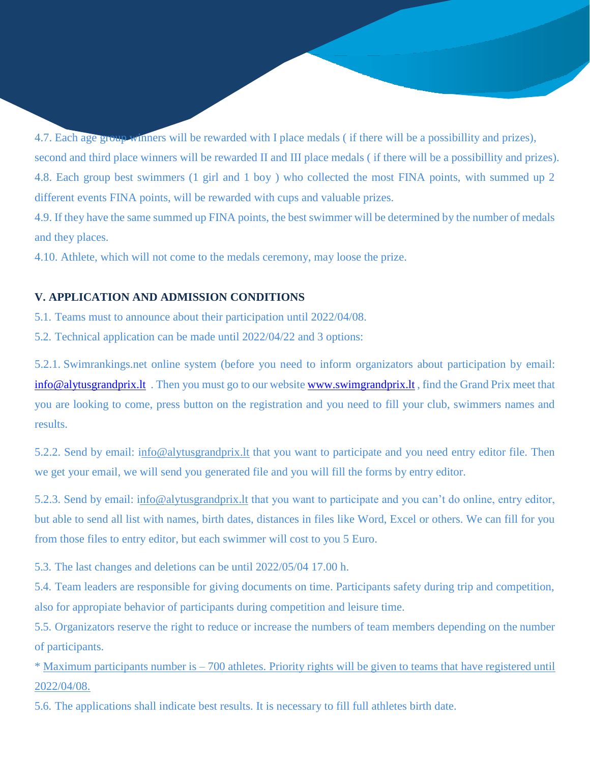second and third place winners will be rewarded II and III place medals ( if there will be a possibillity and prizes). 4.8. Each group best swimmers (1 girl and 1 boy ) who collected the most FINA points, with summed up 2 different events FINA points, will be rewarded with cups and valuable prizes. 4.7. Each age group winners will be rewarded with I place medals ( if there will be a possibillity and prizes),

4.9. If they have the same summed up FINA points, the best swimmer will be determined by the number of medals and they places.

4.10. Athlete, which will not come to the medals ceremony, may loose the prize.

#### **V. APPLICATION AND ADMISSION CONDITIONS**

5.1. Teams must to announce about their participation until 2022/04/08.

5.2. Technical application can be made until 2022/04/22 and 3 options:

5.2.1. Swimrankings.net online system (before you need to inform organizators about participation by email: [info@alytusgrandprix.lt](mailto:info@alytusgrandprix.lt). Then you must go to our website [www.swimgrandprix.lt](http://www.swimgrandprix.lt/), find the Grand Prix meet that you are looking to come, press button on the registration and you need to fill your club, swimmers names and results.

5.2.2. Send by email: info[@alytusgrandprix.lt](http://www.alytusgrandprix.lt/) that you want to participate and you need entry editor file. Then we get your email, we will send you generated file and you will fill the forms by entry editor.

5.2.3. Send by email: info[@alytusgrandprix.lt](http://www.alytusgrandprix.lt/) that you want to participate and you can't do online, entry editor, but able to send all list with names, birth dates, distances in files like Word, Excel or others. We can fill for you from those files to entry editor, but each swimmer will cost to you 5 Euro.

5.3. The last changes and deletions can be until 2022/05/04 17.00 h.

5.4. Team leaders are responsible for giving documents on time. Participants safety during trip and competition, also for appropiate behavior of participants during competition and leisure time.

5.5. Organizators reserve the right to reduce or increase the numbers of team members depending on the number of participants.

\* Maximum participants number is – 700 athletes. Priority rights will be given to teams that have registered until 2022/04/08.

5.6. The applications shall indicate best results. It is necessary to fill full athletes birth date.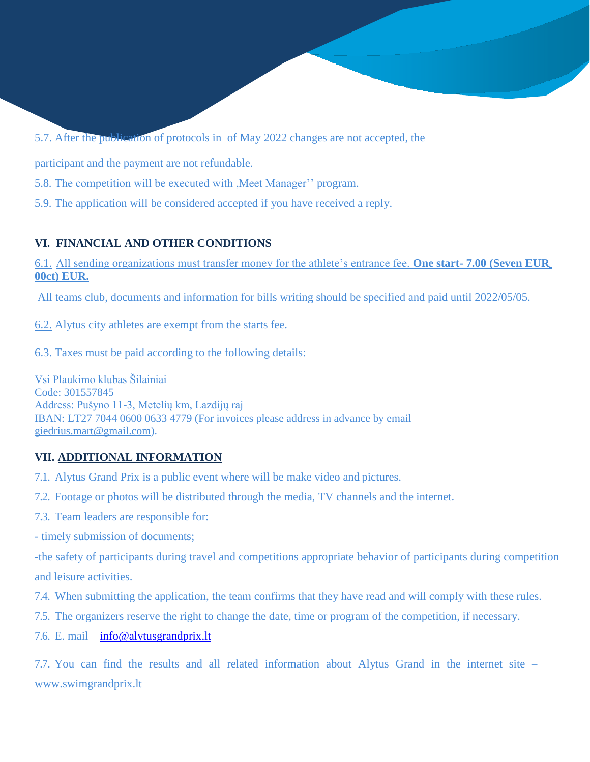5.7. After the publication of protocols in of May 2022 changes are not accepted, the

participant and the payment are not refundable.

5.8. The competition will be executed with ,Meet Manager'' program.

5.9. The application will be considered accepted if you have received a reply.

# **VI. FINANCIAL AND OTHER CONDITIONS**

6.1. All sending organizations must transfer money for the athlete's entrance fee. **One start- 7.00 (Seven EUR 00ct) EUR.**

All teams club, documents and information for bills writing should be specified and paid until 2022/05/05.

6.2. Alytus city athletes are exempt from the starts fee.

6.3. Taxes must be paid according to the following details:

Vsi Plaukimo klubas Šilainiai Code: 301557845 Address: Pušyno 11-3, Metelių km, Lazdijų raj IBAN: LT27 7044 0600 0633 4779 (For invoices please address in advance by email [giedrius.mart@gmail.com\)](mailto:giedrius.mart@gmail.com).

## **VII. ADDITIONAL INFORMATION**

7.1. Alytus Grand Prix is a public event where will be make video and pictures.

7.2. Footage or photos will be distributed through the media, TV channels and the internet.

7.3. Team leaders are responsible for:

- timely submission of documents;

-the safety of participants during travel and competitions appropriate behavior of participants during competition and leisure activities.

- 7.4. When submitting the application, the team confirms that they have read and will comply with these rules.
- 7.5. The organizers reserve the right to change the date, time or program of the competition, if necessary.
- 7.6. E. mail [info@alytusgrandprix.lt](mailto:info@alytusgrandprix.lt)

7.7. You can find the results and all related information about Alytus Grand in the internet site – [www.swimgrandprix.lt](http://www.swimgrandprix.lt/)